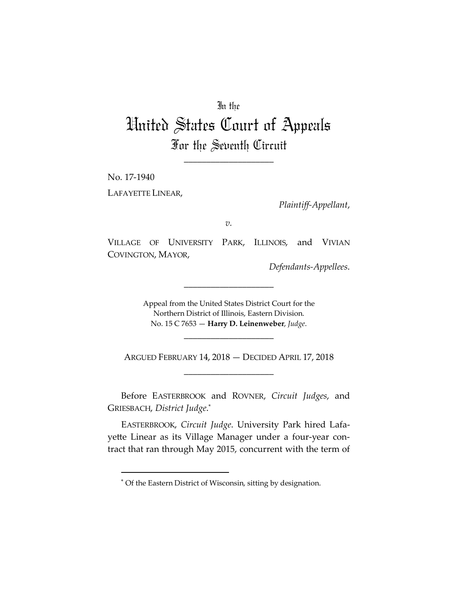## In the

## United States Court of Appeals For the Seventh Circuit

\_\_\_\_\_\_\_\_\_\_\_\_\_\_\_\_\_\_\_\_

No. 17-1940 LAFAYETTE LINEAR,

 $\overline{a}$ 

*Plaintiff-Appellant*,

*v.*

VILLAGE OF UNIVERSITY PARK, ILLINOIS, and VIVIAN COVINGTON, MAYOR,

*Defendants-Appellees*.

Appeal from the United States District Court for the Northern District of Illinois, Eastern Division. No. 15 C 7653 — **Harry D. Leinenweber**, *Judge*.

\_\_\_\_\_\_\_\_\_\_\_\_\_\_\_\_\_\_\_\_

ARGUED FEBRUARY 14, 2018 — DECIDED APRIL 17, 2018 \_\_\_\_\_\_\_\_\_\_\_\_\_\_\_\_\_\_\_\_

\_\_\_\_\_\_\_\_\_\_\_\_\_\_\_\_\_\_\_\_

Before EASTERBROOK and ROVNER, *Circuit Judges*, and GRIESBACH, *District Judge*. \*

EASTERBROOK, *Circuit Judge*. University Park hired Lafayette Linear as its Village Manager under a four-year contract that ran through May 2015, concurrent with the term of

<sup>\*</sup> Of the Eastern District of Wisconsin, sitting by designation.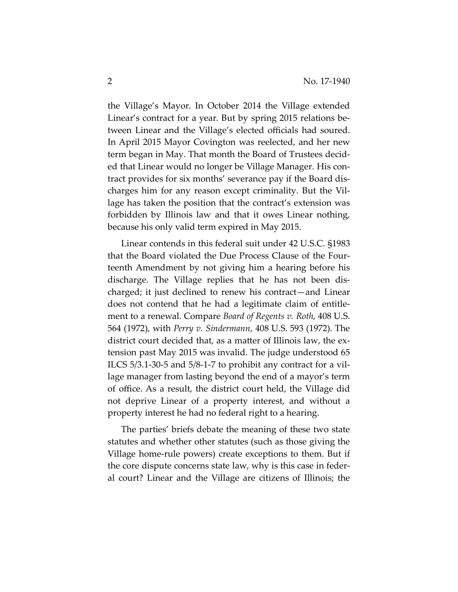the Village's Mayor. In October 2014 the Village extended Linear's contract for a year. But by spring 2015 relations between Linear and the Village's elected officials had soured. In April 2015 Mayor Covington was reelected, and her new term began in May. That month the Board of Trustees decided that Linear would no longer be Village Manager. His contract provides for six months' severance pay if the Board discharges him for any reason except criminality. But the Village has taken the position that the contract's extension was forbidden by Illinois law and that it owes Linear nothing, because his only valid term expired in May 2015.

Linear contends in this federal suit under 42 U.S.C. §1983 that the Board violated the Due Process Clause of the Fourteenth Amendment by not giving him a hearing before his discharge. The Village replies that he has not been discharged; it just declined to renew his contract—and Linear does not contend that he had a legitimate claim of entitlement to a renewal. Compare *Board of Regents v. Roth*, 408 U.S. 564 (1972), with *Perry v. Sindermann*, 408 U.S. 593 (1972). The district court decided that, as a matter of Illinois law, the extension past May 2015 was invalid. The judge understood 65 ILCS 5/3.1-30-5 and 5/8-1-7 to prohibit any contract for a village manager from lasting beyond the end of a mayor's term of office. As a result, the district court held, the Village did not deprive Linear of a property interest, and without a property interest he had no federal right to a hearing.

The parties' briefs debate the meaning of these two state statutes and whether other statutes (such as those giving the Village home-rule powers) create exceptions to them. But if the core dispute concerns state law, why is this case in federal court? Linear and the Village are citizens of Illinois; the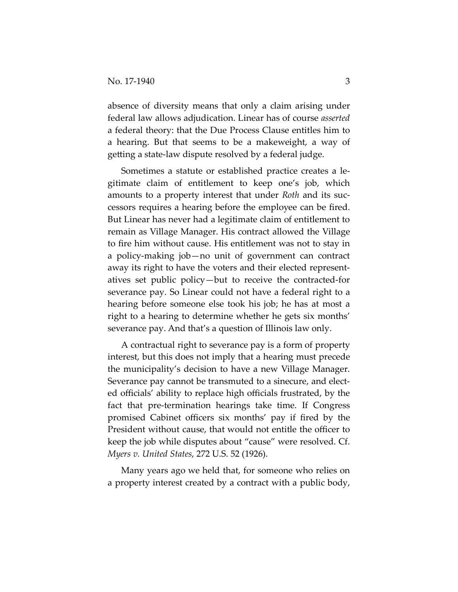absence of diversity means that only a claim arising under federal law allows adjudication. Linear has of course *asserted* a federal theory: that the Due Process Clause entitles him to a hearing. But that seems to be a makeweight, a way of getting a state-law dispute resolved by a federal judge.

Sometimes a statute or established practice creates a legitimate claim of entitlement to keep one's job, which amounts to a property interest that under *Roth* and its successors requires a hearing before the employee can be fired. But Linear has never had a legitimate claim of entitlement to remain as Village Manager. His contract allowed the Village to fire him without cause. His entitlement was not to stay in a policy-making job—no unit of government can contract away its right to have the voters and their elected representatives set public policy—but to receive the contracted-for severance pay. So Linear could not have a federal right to a hearing before someone else took his job; he has at most a right to a hearing to determine whether he gets six months' severance pay. And that's a question of Illinois law only.

A contractual right to severance pay is a form of property interest, but this does not imply that a hearing must precede the municipality's decision to have a new Village Manager. Severance pay cannot be transmuted to a sinecure, and elected officials' ability to replace high officials frustrated, by the fact that pre-termination hearings take time. If Congress promised Cabinet officers six months' pay if fired by the President without cause, that would not entitle the officer to keep the job while disputes about "cause" were resolved. Cf. *Myers v. United States*, 272 U.S. 52 (1926).

Many years ago we held that, for someone who relies on a property interest created by a contract with a public body,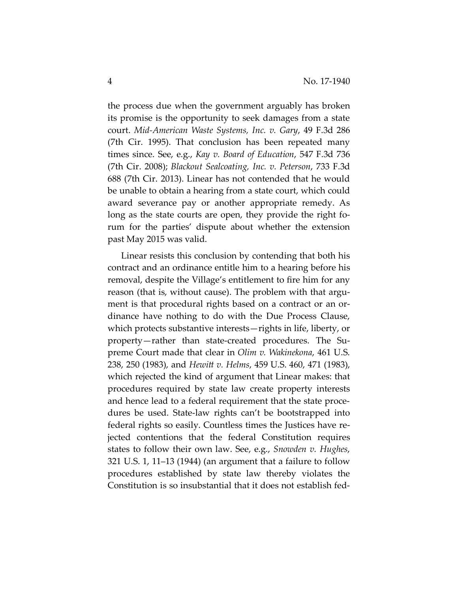the process due when the government arguably has broken its promise is the opportunity to seek damages from a state court. *Mid-American Waste Systems, Inc. v. Gary*, 49 F.3d 286 (7th Cir. 1995). That conclusion has been repeated many times since. See, e.g., *Kay v. Board of Education*, 547 F.3d 736 (7th Cir. 2008); *Blackout Sealcoating, Inc. v. Peterson*, 733 F.3d 688 (7th Cir. 2013). Linear has not contended that he would be unable to obtain a hearing from a state court, which could award severance pay or another appropriate remedy. As long as the state courts are open, they provide the right forum for the parties' dispute about whether the extension past May 2015 was valid.

Linear resists this conclusion by contending that both his contract and an ordinance entitle him to a hearing before his removal, despite the Village's entitlement to fire him for any reason (that is, without cause). The problem with that argument is that procedural rights based on a contract or an ordinance have nothing to do with the Due Process Clause, which protects substantive interests—rights in life, liberty, or property—rather than state-created procedures. The Supreme Court made that clear in *Olim v. Wakinekona*, 461 U.S. 238, 250 (1983), and *Hewitt v. Helms*, 459 U.S. 460, 471 (1983), which rejected the kind of argument that Linear makes: that procedures required by state law create property interests and hence lead to a federal requirement that the state procedures be used. State-law rights can't be bootstrapped into federal rights so easily. Countless times the Justices have rejected contentions that the federal Constitution requires states to follow their own law. See, e.g., *Snowden v. Hughes*, 321 U.S. 1, 11–13 (1944) (an argument that a failure to follow procedures established by state law thereby violates the Constitution is so insubstantial that it does not establish fed-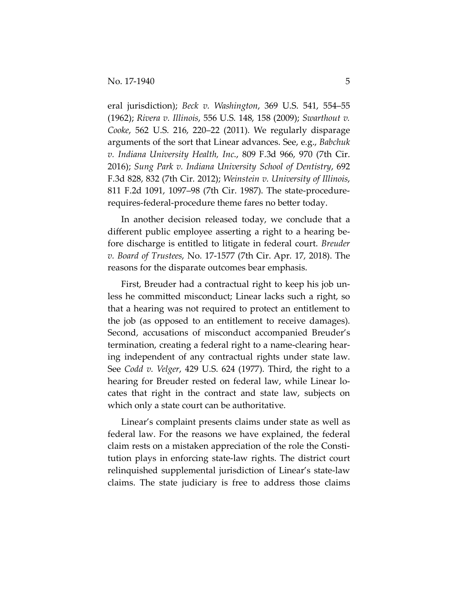eral jurisdiction); *Beck v. Washington*, 369 U.S. 541, 554–55 (1962); *Rivera v. Illinois*, 556 U.S. 148, 158 (2009); *Swarthout v. Cooke*, 562 U.S. 216, 220–22 (2011). We regularly disparage arguments of the sort that Linear advances. See, e.g., *Babchuk v. Indiana University Health, Inc*., 809 F.3d 966, 970 (7th Cir. 2016); *Sung Park v. Indiana University School of Dentistry*, 692 F.3d 828, 832 (7th Cir. 2012); *Weinstein v. University of Illinois*, 811 F.2d 1091, 1097–98 (7th Cir. 1987). The state-procedurerequires-federal-procedure theme fares no better today.

In another decision released today, we conclude that a different public employee asserting a right to a hearing before discharge is entitled to litigate in federal court. *Breuder v. Board of Trustees*, No. 17-1577 (7th Cir. Apr. 17, 2018). The reasons for the disparate outcomes bear emphasis.

First, Breuder had a contractual right to keep his job unless he committed misconduct; Linear lacks such a right, so that a hearing was not required to protect an entitlement to the job (as opposed to an entitlement to receive damages). Second, accusations of misconduct accompanied Breuder's termination, creating a federal right to a name-clearing hearing independent of any contractual rights under state law. See *Codd v. Velger*, 429 U.S. 624 (1977). Third, the right to a hearing for Breuder rested on federal law, while Linear locates that right in the contract and state law, subjects on which only a state court can be authoritative.

Linear's complaint presents claims under state as well as federal law. For the reasons we have explained, the federal claim rests on a mistaken appreciation of the role the Constitution plays in enforcing state-law rights. The district court relinquished supplemental jurisdiction of Linear's state-law claims. The state judiciary is free to address those claims